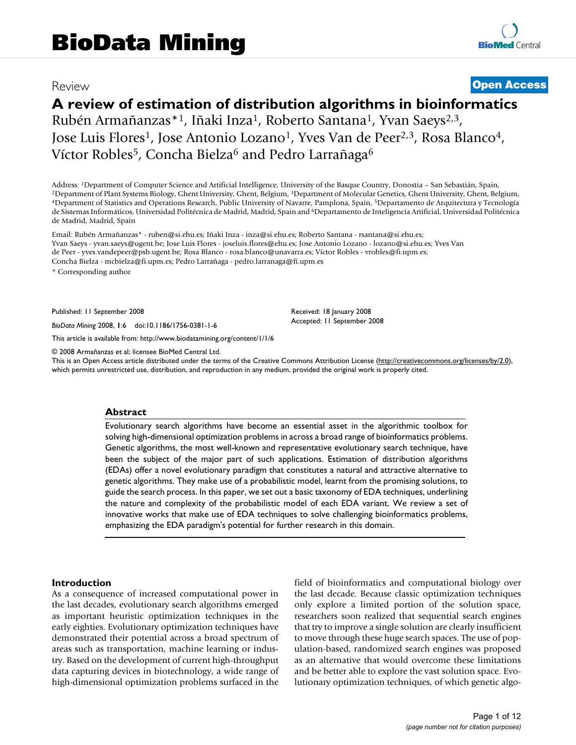# Review **[Open Access](http://www.biomedcentral.com/info/about/charter/)**

# **A review of estimation of distribution algorithms in bioinformatics**

Rubén Armañanzas\*1, Iñaki Inza1, Roberto Santana1, Yvan Saeys2,3, Jose Luis Flores<sup>1</sup>, Jose Antonio Lozano<sup>1</sup>, Yves Van de Peer<sup>2,3</sup>, Rosa Blanco<sup>4</sup>, Víctor Robles<sup>5</sup>, Concha Bielza<sup>6</sup> and Pedro Larrañaga<sup>6</sup>

Address: <sup>1</sup>Department of Computer Science and Artificial Intelligence, University of the Basque Country, Donostia – San Sebastián, Spain,<br><sup>2</sup>Department of Plant Systems Biology, Ghent University, Ghent, Belgium, <sup>3</sup>Depart de Sistemas Informáticos, Universidad Politécnica de Madrid, Madrid, Spain and <sup>6</sup>Departamento de Inteligencia Artificial, Universidad Politécnica de Madrid, Madrid, Spain

Email: Rubén Armañanzas\* - ruben@si.ehu.es; Iñaki Inza - inza@si.ehu.es; Roberto Santana - rsantana@si.ehu.es; Yvan Saeys - yvan.saeys@ugent.be; Jose Luis Flores - joseluis.flores@ehu.es; Jose Antonio Lozano - lozano@si.ehu.es; Yves Van de Peer - yves.vandepeer@psb.ugent.be; Rosa Blanco - rosa.blanco@unavarra.es; Víctor Robles - vrobles@fi.upm.es; Concha Bielza - mcbielza@fi.upm.es; Pedro Larrañaga - pedro.larranaga@fi.upm.es

\* Corresponding author

Published: 11 September 2008

*BioData Mining* 2008, **1**:6 doi:10.1186/1756-0381-1-6

[This article is available from: http://www.biodatamining.org/content/1/1/6](http://www.biodatamining.org/content/1/1/6)

© 2008 Armañanzas et al; licensee BioMed Central Ltd.

This is an Open Access article distributed under the terms of the Creative Commons Attribution License [\(http://creativecommons.org/licenses/by/2.0\)](http://creativecommons.org/licenses/by/2.0), which permits unrestricted use, distribution, and reproduction in any medium, provided the original work is properly cited.

Received: 18 January 2008 Accepted: 11 September 2008

#### **Abstract**

Evolutionary search algorithms have become an essential asset in the algorithmic toolbox for solving high-dimensional optimization problems in across a broad range of bioinformatics problems. Genetic algorithms, the most well-known and representative evolutionary search technique, have been the subject of the major part of such applications. Estimation of distribution algorithms (EDAs) offer a novel evolutionary paradigm that constitutes a natural and attractive alternative to genetic algorithms. They make use of a probabilistic model, learnt from the promising solutions, to guide the search process. In this paper, we set out a basic taxonomy of EDA techniques, underlining the nature and complexity of the probabilistic model of each EDA variant. We review a set of innovative works that make use of EDA techniques to solve challenging bioinformatics problems, emphasizing the EDA paradigm's potential for further research in this domain.

#### **Introduction**

As a consequence of increased computational power in the last decades, evolutionary search algorithms emerged as important heuristic optimization techniques in the early eighties. Evolutionary optimization techniques have demonstrated their potential across a broad spectrum of areas such as transportation, machine learning or industry. Based on the development of current high-throughput data capturing devices in biotechnology, a wide range of high-dimensional optimization problems surfaced in the field of bioinformatics and computational biology over the last decade. Because classic optimization techniques only explore a limited portion of the solution space, researchers soon realized that sequential search engines that try to improve a single solution are clearly insufficient to move through these huge search spaces. The use of population-based, randomized search engines was proposed as an alternative that would overcome these limitations and be better able to explore the vast solution space. Evolutionary optimization techniques, of which genetic algo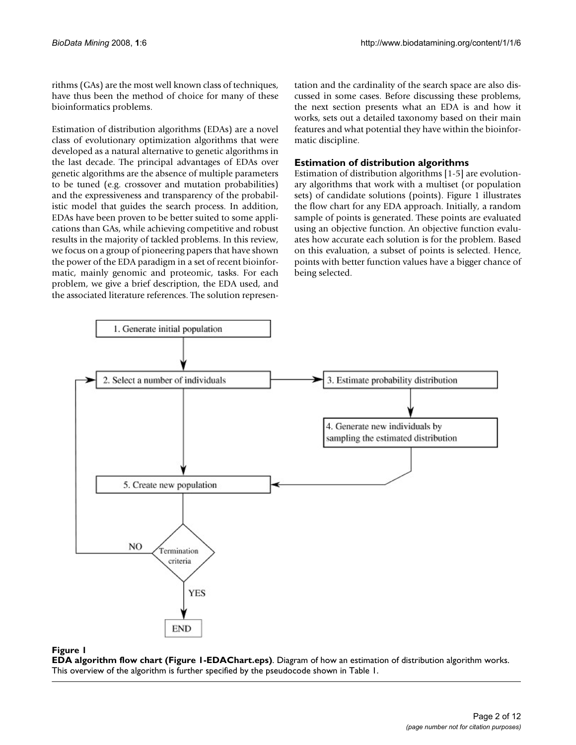rithms (GAs) are the most well known class of techniques, have thus been the method of choice for many of these bioinformatics problems.

Estimation of distribution algorithms (EDAs) are a novel class of evolutionary optimization algorithms that were developed as a natural alternative to genetic algorithms in the last decade. The principal advantages of EDAs over genetic algorithms are the absence of multiple parameters to be tuned (e.g. crossover and mutation probabilities) and the expressiveness and transparency of the probabilistic model that guides the search process. In addition, EDAs have been proven to be better suited to some applications than GAs, while achieving competitive and robust results in the majority of tackled problems. In this review, we focus on a group of pioneering papers that have shown the power of the EDA paradigm in a set of recent bioinformatic, mainly genomic and proteomic, tasks. For each problem, we give a brief description, the EDA used, and the associated literature references. The solution representation and the cardinality of the search space are also discussed in some cases. Before discussing these problems, the next section presents what an EDA is and how it works, sets out a detailed taxonomy based on their main features and what potential they have within the bioinformatic discipline.

# **Estimation of distribution algorithms**

Estimation of distribution algorithms [1-5] are evolutionary algorithms that work with a multiset (or population sets) of candidate solutions (points). Figure 1 illustrates the flow chart for any EDA approach. Initially, a random sample of points is generated. These points are evaluated using an objective function. An objective function evaluates how accurate each solution is for the problem. Based on this evaluation, a subset of points is selected. Hence, points with better function values have a bigger chance of being selected.



#### **Figure 1**

**EDA algorithm flow chart (Figure 1-EDAChart.eps)**. Diagram of how an estimation of distribution algorithm works. This overview of the algorithm is further specified by the pseudocode shown in Table 1.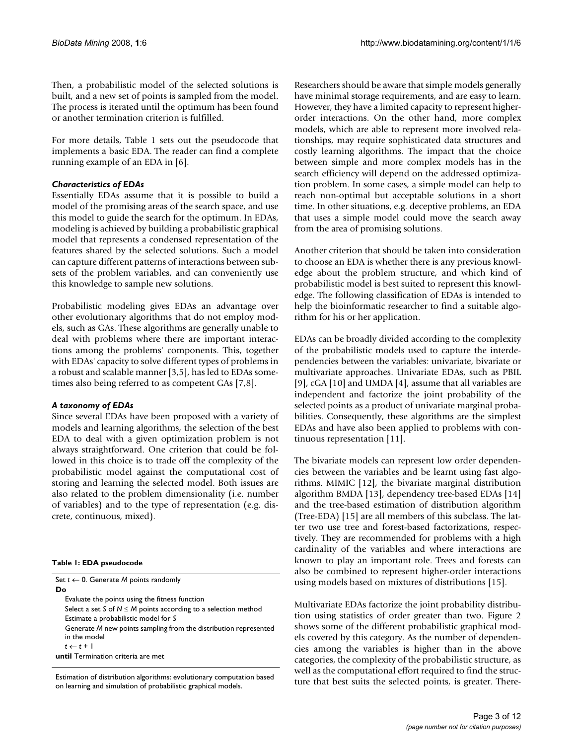Then, a probabilistic model of the selected solutions is built, and a new set of points is sampled from the model. The process is iterated until the optimum has been found or another termination criterion is fulfilled.

For more details, Table 1 sets out the pseudocode that implements a basic EDA. The reader can find a complete running example of an EDA in [6].

### *Characteristics of EDAs*

Essentially EDAs assume that it is possible to build a model of the promising areas of the search space, and use this model to guide the search for the optimum. In EDAs, modeling is achieved by building a probabilistic graphical model that represents a condensed representation of the features shared by the selected solutions. Such a model can capture different patterns of interactions between subsets of the problem variables, and can conveniently use this knowledge to sample new solutions.

Probabilistic modeling gives EDAs an advantage over other evolutionary algorithms that do not employ models, such as GAs. These algorithms are generally unable to deal with problems where there are important interactions among the problems' components. This, together with EDAs' capacity to solve different types of problems in a robust and scalable manner [3,5], has led to EDAs sometimes also being referred to as competent GAs [7,8].

#### *A taxonomy of EDAs*

Since several EDAs have been proposed with a variety of models and learning algorithms, the selection of the best EDA to deal with a given optimization problem is not always straightforward. One criterion that could be followed in this choice is to trade off the complexity of the probabilistic model against the computational cost of storing and learning the selected model. Both issues are also related to the problem dimensionality (i.e. number of variables) and to the type of representation (e.g. discrete, continuous, mixed).

#### **Table 1: EDA pseudocode**

| Set $t \leftarrow 0$ . Generate M points randomly                   |
|---------------------------------------------------------------------|
| Dο                                                                  |
| Evaluate the points using the fitness function                      |
| Select a set S of $N \leq M$ points according to a selection method |
| Estimate a probabilistic model for S                                |
| Generate M new points sampling from the distribution represented    |
| in the model                                                        |
| $t \leftarrow t + 1$                                                |
| until Termination criteria are met                                  |
|                                                                     |

Estimation of distribution algorithms: evolutionary computation based on learning and simulation of probabilistic graphical models.

Researchers should be aware that simple models generally have minimal storage requirements, and are easy to learn. However, they have a limited capacity to represent higherorder interactions. On the other hand, more complex models, which are able to represent more involved relationships, may require sophisticated data structures and costly learning algorithms. The impact that the choice between simple and more complex models has in the search efficiency will depend on the addressed optimization problem. In some cases, a simple model can help to reach non-optimal but acceptable solutions in a short time. In other situations, e.g. deceptive problems, an EDA that uses a simple model could move the search away from the area of promising solutions.

Another criterion that should be taken into consideration to choose an EDA is whether there is any previous knowledge about the problem structure, and which kind of probabilistic model is best suited to represent this knowledge. The following classification of EDAs is intended to help the bioinformatic researcher to find a suitable algorithm for his or her application.

EDAs can be broadly divided according to the complexity of the probabilistic models used to capture the interdependencies between the variables: univariate, bivariate or multivariate approaches. Univariate EDAs, such as PBIL [9], cGA [10] and UMDA [4], assume that all variables are independent and factorize the joint probability of the selected points as a product of univariate marginal probabilities. Consequently, these algorithms are the simplest EDAs and have also been applied to problems with continuous representation [11].

The bivariate models can represent low order dependencies between the variables and be learnt using fast algorithms. MIMIC [12], the bivariate marginal distribution algorithm BMDA [13], dependency tree-based EDAs [14] and the tree-based estimation of distribution algorithm (Tree-EDA) [15] are all members of this subclass. The latter two use tree and forest-based factorizations, respectively. They are recommended for problems with a high cardinality of the variables and where interactions are known to play an important role. Trees and forests can also be combined to represent higher-order interactions using models based on mixtures of distributions [15].

Multivariate EDAs factorize the joint probability distribution using statistics of order greater than two. Figure 2 shows some of the different probabilistic graphical models covered by this category. As the number of dependencies among the variables is higher than in the above categories, the complexity of the probabilistic structure, as well as the computational effort required to find the structure that best suits the selected points, is greater. There-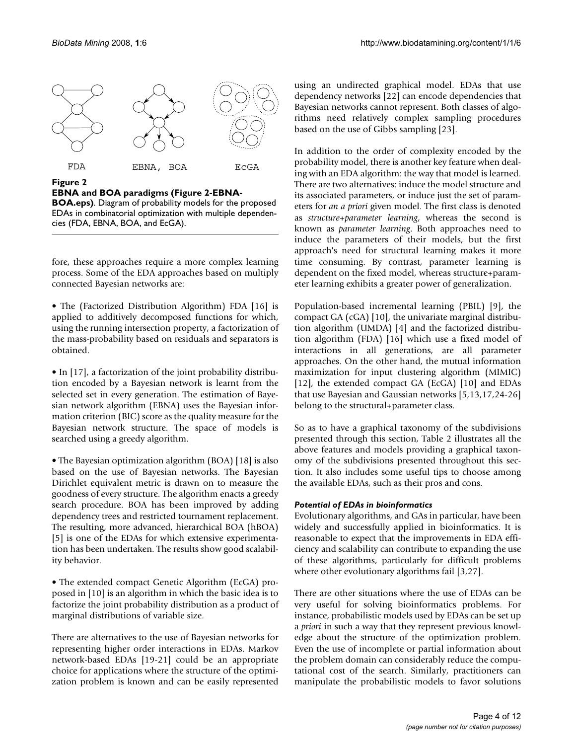

**EBNA and BOA paradigms (Figure 2-EBNA-BOA.eps)**. Diagram of probability models for the proposed EDAs in combinatorial optimization with multiple dependencies (FDA, EBNA, BOA, and EcGA).

fore, these approaches require a more complex learning process. Some of the EDA approaches based on multiply connected Bayesian networks are:

• The (Factorized Distribution Algorithm) FDA [16] is applied to additively decomposed functions for which, using the running intersection property, a factorization of the mass-probability based on residuals and separators is obtained.

• In [17], a factorization of the joint probability distribution encoded by a Bayesian network is learnt from the selected set in every generation. The estimation of Bayesian network algorithm (EBNA) uses the Bayesian information criterion (BIC) score as the quality measure for the Bayesian network structure. The space of models is searched using a greedy algorithm.

• The Bayesian optimization algorithm (BOA) [18] is also based on the use of Bayesian networks. The Bayesian Dirichlet equivalent metric is drawn on to measure the goodness of every structure. The algorithm enacts a greedy search procedure. BOA has been improved by adding dependency trees and restricted tournament replacement. The resulting, more advanced, hierarchical BOA (hBOA) [5] is one of the EDAs for which extensive experimentation has been undertaken. The results show good scalability behavior.

• The extended compact Genetic Algorithm (EcGA) proposed in [10] is an algorithm in which the basic idea is to factorize the joint probability distribution as a product of marginal distributions of variable size.

There are alternatives to the use of Bayesian networks for representing higher order interactions in EDAs. Markov network-based EDAs [19-21] could be an appropriate choice for applications where the structure of the optimization problem is known and can be easily represented using an undirected graphical model. EDAs that use dependency networks [22] can encode dependencies that Bayesian networks cannot represent. Both classes of algorithms need relatively complex sampling procedures based on the use of Gibbs sampling [23].

In addition to the order of complexity encoded by the probability model, there is another key feature when dealing with an EDA algorithm: the way that model is learned. There are two alternatives: induce the model structure and its associated parameters, or induce just the set of parameters for *an a priori* given model. The first class is denoted as *structure*+*parameter learning*, whereas the second is known as *parameter learning*. Both approaches need to induce the parameters of their models, but the first approach's need for structural learning makes it more time consuming. By contrast, parameter learning is dependent on the fixed model, whereas structure+parameter learning exhibits a greater power of generalization.

Population-based incremental learning (PBIL) [9], the compact GA (cGA) [10], the univariate marginal distribution algorithm (UMDA) [4] and the factorized distribution algorithm (FDA) [16] which use a fixed model of interactions in all generations, are all parameter approaches. On the other hand, the mutual information maximization for input clustering algorithm (MIMIC) [12], the extended compact GA (EcGA) [10] and EDAs that use Bayesian and Gaussian networks [5,13,17,24-26] belong to the structural+parameter class.

So as to have a graphical taxonomy of the subdivisions presented through this section, Table 2 illustrates all the above features and models providing a graphical taxonomy of the subdivisions presented throughout this section. It also includes some useful tips to choose among the available EDAs, such as their pros and cons.

## *Potential of EDAs in bioinformatics*

Evolutionary algorithms, and GAs in particular, have been widely and successfully applied in bioinformatics. It is reasonable to expect that the improvements in EDA efficiency and scalability can contribute to expanding the use of these algorithms, particularly for difficult problems where other evolutionary algorithms fail [3,27].

There are other situations where the use of EDAs can be very useful for solving bioinformatics problems. For instance, probabilistic models used by EDAs can be set up a *priori* in such a way that they represent previous knowledge about the structure of the optimization problem. Even the use of incomplete or partial information about the problem domain can considerably reduce the computational cost of the search. Similarly, practitioners can manipulate the probabilistic models to favor solutions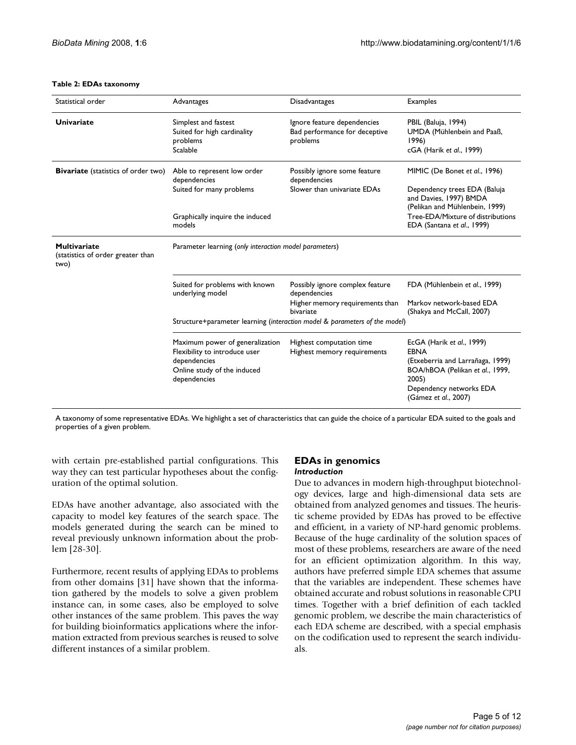#### **Table 2: EDAs taxonomy**

| Statistical order                                                | Advantages                                                                                                                      | Disadvantages                                                            | Examples                                                                                                                                                                    |
|------------------------------------------------------------------|---------------------------------------------------------------------------------------------------------------------------------|--------------------------------------------------------------------------|-----------------------------------------------------------------------------------------------------------------------------------------------------------------------------|
| <b>Univariate</b>                                                | Simplest and fastest<br>Suited for high cardinality<br>problems<br><b>Scalable</b>                                              | Ignore feature dependencies<br>Bad performance for deceptive<br>problems | PBIL (Baluja, 1994)<br>UMDA (Mühlenbein and Paaß,<br>1996)<br>cGA (Harik et al., 1999)                                                                                      |
| <b>Bivariate</b> (statistics of order two)                       | Able to represent low order<br>dependencies                                                                                     | Possibly ignore some feature<br>dependencies                             | MIMIC (De Bonet et al., 1996)                                                                                                                                               |
|                                                                  | Suited for many problems                                                                                                        | Slower than univariate EDAs                                              | Dependency trees EDA (Baluja<br>and Davies, 1997) BMDA<br>(Pelikan and Mühlenbein, 1999)                                                                                    |
|                                                                  | Graphically inquire the induced<br>models                                                                                       |                                                                          | Tree-EDA/Mixture of distributions<br>EDA (Santana et al., 1999)                                                                                                             |
| <b>Multivariate</b><br>(statistics of order greater than<br>two) | Parameter learning (only interaction model parameters)                                                                          |                                                                          |                                                                                                                                                                             |
|                                                                  | Suited for problems with known<br>underlying model                                                                              | Possibly ignore complex feature<br>dependencies                          | FDA (Mühlenbein et al., 1999)                                                                                                                                               |
|                                                                  |                                                                                                                                 | Higher memory requirements than<br>bivariate                             | Markov network-based EDA<br>(Shakya and McCall, 2007)                                                                                                                       |
|                                                                  | Structure+parameter learning (interaction model & parameters of the model)                                                      |                                                                          |                                                                                                                                                                             |
|                                                                  | Maximum power of generalization<br>Flexibility to introduce user<br>dependencies<br>Online study of the induced<br>dependencies | Highest computation time<br>Highest memory requirements                  | EcGA (Harik et al., 1999)<br><b>EBNA</b><br>(Etxeberria and Larrañaga, 1999)<br>BOA/hBOA (Pelikan et al., 1999,<br>2005)<br>Dependency networks EDA<br>(Gámez et al., 2007) |

A taxonomy of some representative EDAs. We highlight a set of characteristics that can guide the choice of a particular EDA suited to the goals and properties of a given problem.

with certain pre-established partial configurations. This way they can test particular hypotheses about the configuration of the optimal solution.

EDAs have another advantage, also associated with the capacity to model key features of the search space. The models generated during the search can be mined to reveal previously unknown information about the problem [28-30].

Furthermore, recent results of applying EDAs to problems from other domains [31] have shown that the information gathered by the models to solve a given problem instance can, in some cases, also be employed to solve other instances of the same problem. This paves the way for building bioinformatics applications where the information extracted from previous searches is reused to solve different instances of a similar problem.

#### **EDAs in genomics** *Introduction*

Due to advances in modern high-throughput biotechnology devices, large and high-dimensional data sets are obtained from analyzed genomes and tissues. The heuristic scheme provided by EDAs has proved to be effective and efficient, in a variety of NP-hard genomic problems. Because of the huge cardinality of the solution spaces of most of these problems, researchers are aware of the need for an efficient optimization algorithm. In this way, authors have preferred simple EDA schemes that assume that the variables are independent. These schemes have obtained accurate and robust solutions in reasonable CPU times. Together with a brief definition of each tackled genomic problem, we describe the main characteristics of each EDA scheme are described, with a special emphasis on the codification used to represent the search individuals.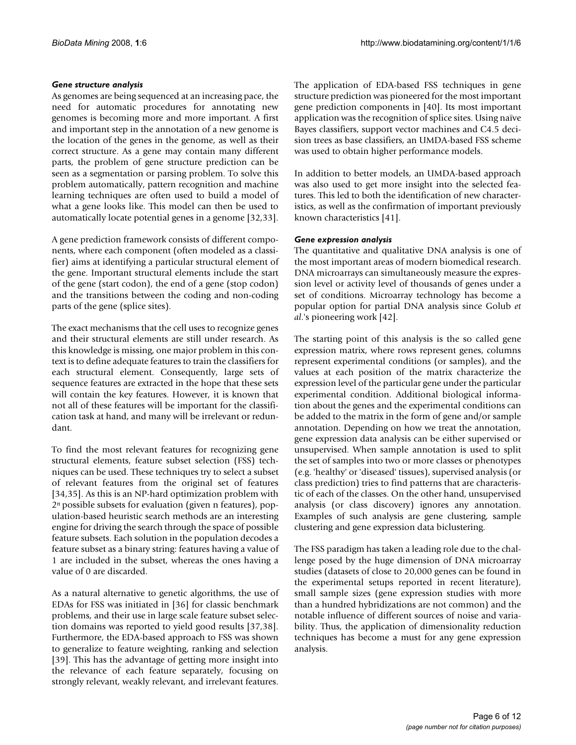### *Gene structure analysis*

As genomes are being sequenced at an increasing pace, the need for automatic procedures for annotating new genomes is becoming more and more important. A first and important step in the annotation of a new genome is the location of the genes in the genome, as well as their correct structure. As a gene may contain many different parts, the problem of gene structure prediction can be seen as a segmentation or parsing problem. To solve this problem automatically, pattern recognition and machine learning techniques are often used to build a model of what a gene looks like. This model can then be used to automatically locate potential genes in a genome [32,33].

A gene prediction framework consists of different components, where each component (often modeled as a classifier) aims at identifying a particular structural element of the gene. Important structural elements include the start of the gene (start codon), the end of a gene (stop codon) and the transitions between the coding and non-coding parts of the gene (splice sites).

The exact mechanisms that the cell uses to recognize genes and their structural elements are still under research. As this knowledge is missing, one major problem in this context is to define adequate features to train the classifiers for each structural element. Consequently, large sets of sequence features are extracted in the hope that these sets will contain the key features. However, it is known that not all of these features will be important for the classification task at hand, and many will be irrelevant or redundant.

To find the most relevant features for recognizing gene structural elements, feature subset selection (FSS) techniques can be used. These techniques try to select a subset of relevant features from the original set of features [34,35]. As this is an NP-hard optimization problem with 2*n* possible subsets for evaluation (given n features), population-based heuristic search methods are an interesting engine for driving the search through the space of possible feature subsets. Each solution in the population decodes a feature subset as a binary string: features having a value of 1 are included in the subset, whereas the ones having a value of 0 are discarded.

As a natural alternative to genetic algorithms, the use of EDAs for FSS was initiated in [36] for classic benchmark problems, and their use in large scale feature subset selection domains was reported to yield good results [37,38]. Furthermore, the EDA-based approach to FSS was shown to generalize to feature weighting, ranking and selection [39]. This has the advantage of getting more insight into the relevance of each feature separately, focusing on strongly relevant, weakly relevant, and irrelevant features.

The application of EDA-based FSS techniques in gene structure prediction was pioneered for the most important gene prediction components in [40]. Its most important application was the recognition of splice sites. Using naïve Bayes classifiers, support vector machines and C4.5 decision trees as base classifiers, an UMDA-based FSS scheme was used to obtain higher performance models.

In addition to better models, an UMDA-based approach was also used to get more insight into the selected features. This led to both the identification of new characteristics, as well as the confirmation of important previously known characteristics [41].

#### *Gene expression analysis*

The quantitative and qualitative DNA analysis is one of the most important areas of modern biomedical research. DNA microarrays can simultaneously measure the expression level or activity level of thousands of genes under a set of conditions. Microarray technology has become a popular option for partial DNA analysis since Golub *et al*.'s pioneering work [42].

The starting point of this analysis is the so called gene expression matrix, where rows represent genes, columns represent experimental conditions (or samples), and the values at each position of the matrix characterize the expression level of the particular gene under the particular experimental condition. Additional biological information about the genes and the experimental conditions can be added to the matrix in the form of gene and/or sample annotation. Depending on how we treat the annotation, gene expression data analysis can be either supervised or unsupervised. When sample annotation is used to split the set of samples into two or more classes or phenotypes (e.g. 'healthy' or 'diseased' tissues), supervised analysis (or class prediction) tries to find patterns that are characteristic of each of the classes. On the other hand, unsupervised analysis (or class discovery) ignores any annotation. Examples of such analysis are gene clustering, sample clustering and gene expression data biclustering.

The FSS paradigm has taken a leading role due to the challenge posed by the huge dimension of DNA microarray studies (datasets of close to 20,000 genes can be found in the experimental setups reported in recent literature), small sample sizes (gene expression studies with more than a hundred hybridizations are not common) and the notable influence of different sources of noise and variability. Thus, the application of dimensionality reduction techniques has become a must for any gene expression analysis.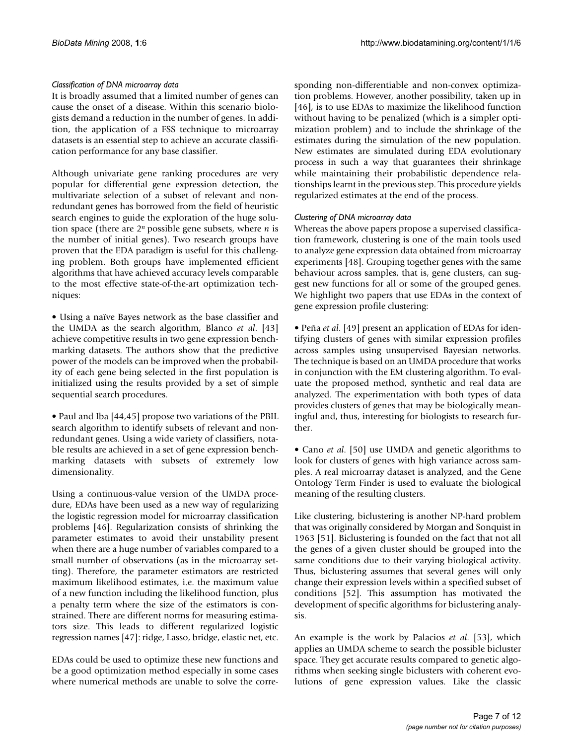#### *Classification of DNA microarray data*

It is broadly assumed that a limited number of genes can cause the onset of a disease. Within this scenario biologists demand a reduction in the number of genes. In addition, the application of a FSS technique to microarray datasets is an essential step to achieve an accurate classification performance for any base classifier.

Although univariate gene ranking procedures are very popular for differential gene expression detection, the multivariate selection of a subset of relevant and nonredundant genes has borrowed from the field of heuristic search engines to guide the exploration of the huge solution space (there are  $2^n$  possible gene subsets, where  $n$  is the number of initial genes). Two research groups have proven that the EDA paradigm is useful for this challenging problem. Both groups have implemented efficient algorithms that have achieved accuracy levels comparable to the most effective state-of-the-art optimization techniques:

• Using a naïve Bayes network as the base classifier and the UMDA as the search algorithm, Blanco *et al*. [43] achieve competitive results in two gene expression benchmarking datasets. The authors show that the predictive power of the models can be improved when the probability of each gene being selected in the first population is initialized using the results provided by a set of simple sequential search procedures.

• Paul and Iba [44,45] propose two variations of the PBIL search algorithm to identify subsets of relevant and nonredundant genes. Using a wide variety of classifiers, notable results are achieved in a set of gene expression benchmarking datasets with subsets of extremely low dimensionality.

Using a continuous-value version of the UMDA procedure, EDAs have been used as a new way of regularizing the logistic regression model for microarray classification problems [46]. Regularization consists of shrinking the parameter estimates to avoid their unstability present when there are a huge number of variables compared to a small number of observations (as in the microarray setting). Therefore, the parameter estimators are restricted maximum likelihood estimates, i.e. the maximum value of a new function including the likelihood function, plus a penalty term where the size of the estimators is constrained. There are different norms for measuring estimators size. This leads to different regularized logistic regression names [47]: ridge, Lasso, bridge, elastic net, etc.

EDAs could be used to optimize these new functions and be a good optimization method especially in some cases where numerical methods are unable to solve the corresponding non-differentiable and non-convex optimization problems. However, another possibility, taken up in [46], is to use EDAs to maximize the likelihood function without having to be penalized (which is a simpler optimization problem) and to include the shrinkage of the estimates during the simulation of the new population. New estimates are simulated during EDA evolutionary process in such a way that guarantees their shrinkage while maintaining their probabilistic dependence relationships learnt in the previous step. This procedure yields regularized estimates at the end of the process.

### *Clustering of DNA microarray data*

Whereas the above papers propose a supervised classification framework, clustering is one of the main tools used to analyze gene expression data obtained from microarray experiments [48]. Grouping together genes with the same behaviour across samples, that is, gene clusters, can suggest new functions for all or some of the grouped genes. We highlight two papers that use EDAs in the context of gene expression profile clustering:

• Peña *et al*. [49] present an application of EDAs for identifying clusters of genes with similar expression profiles across samples using unsupervised Bayesian networks. The technique is based on an UMDA procedure that works in conjunction with the EM clustering algorithm. To evaluate the proposed method, synthetic and real data are analyzed. The experimentation with both types of data provides clusters of genes that may be biologically meaningful and, thus, interesting for biologists to research further.

• Cano *et al*. [50] use UMDA and genetic algorithms to look for clusters of genes with high variance across samples. A real microarray dataset is analyzed, and the Gene Ontology Term Finder is used to evaluate the biological meaning of the resulting clusters.

Like clustering, biclustering is another NP-hard problem that was originally considered by Morgan and Sonquist in 1963 [51]. Biclustering is founded on the fact that not all the genes of a given cluster should be grouped into the same conditions due to their varying biological activity. Thus, biclustering assumes that several genes will only change their expression levels within a specified subset of conditions [52]. This assumption has motivated the development of specific algorithms for biclustering analysis.

An example is the work by Palacios *et al*. [53], which applies an UMDA scheme to search the possible bicluster space. They get accurate results compared to genetic algorithms when seeking single biclusters with coherent evolutions of gene expression values. Like the classic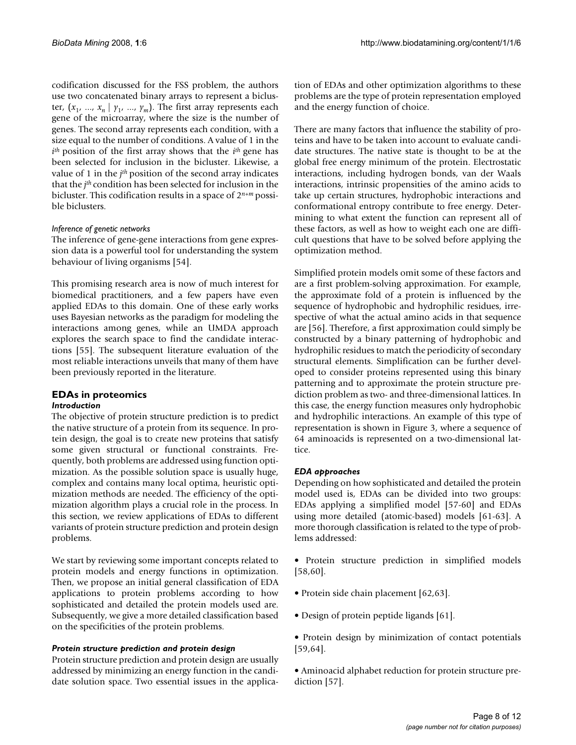codification discussed for the FSS problem, the authors use two concatenated binary arrays to represent a bicluster,  $(x_1, ..., x_n | y_1, ..., y_m)$ . The first array represents each gene of the microarray, where the size is the number of genes. The second array represents each condition, with a size equal to the number of conditions. A value of 1 in the *ith* position of the first array shows that the *ith* gene has been selected for inclusion in the bicluster. Likewise, a value of 1 in the *jth* position of the second array indicates that the *jth* condition has been selected for inclusion in the bicluster. This codification results in a space of 2*n*+*m* possible biclusters.

### *Inference of genetic networks*

The inference of gene-gene interactions from gene expression data is a powerful tool for understanding the system behaviour of living organisms [54].

This promising research area is now of much interest for biomedical practitioners, and a few papers have even applied EDAs to this domain. One of these early works uses Bayesian networks as the paradigm for modeling the interactions among genes, while an UMDA approach explores the search space to find the candidate interactions [55]. The subsequent literature evaluation of the most reliable interactions unveils that many of them have been previously reported in the literature.

### **EDAs in proteomics** *Introduction*

The objective of protein structure prediction is to predict the native structure of a protein from its sequence. In protein design, the goal is to create new proteins that satisfy some given structural or functional constraints. Frequently, both problems are addressed using function optimization. As the possible solution space is usually huge, complex and contains many local optima, heuristic optimization methods are needed. The efficiency of the optimization algorithm plays a crucial role in the process. In this section, we review applications of EDAs to different variants of protein structure prediction and protein design problems.

We start by reviewing some important concepts related to protein models and energy functions in optimization. Then, we propose an initial general classification of EDA applications to protein problems according to how sophisticated and detailed the protein models used are. Subsequently, we give a more detailed classification based on the specificities of the protein problems.

#### *Protein structure prediction and protein design*

Protein structure prediction and protein design are usually addressed by minimizing an energy function in the candidate solution space. Two essential issues in the application of EDAs and other optimization algorithms to these problems are the type of protein representation employed and the energy function of choice.

There are many factors that influence the stability of proteins and have to be taken into account to evaluate candidate structures. The native state is thought to be at the global free energy minimum of the protein. Electrostatic interactions, including hydrogen bonds, van der Waals interactions, intrinsic propensities of the amino acids to take up certain structures, hydrophobic interactions and conformational entropy contribute to free energy. Determining to what extent the function can represent all of these factors, as well as how to weight each one are difficult questions that have to be solved before applying the optimization method.

Simplified protein models omit some of these factors and are a first problem-solving approximation. For example, the approximate fold of a protein is influenced by the sequence of hydrophobic and hydrophilic residues, irrespective of what the actual amino acids in that sequence are [56]. Therefore, a first approximation could simply be constructed by a binary patterning of hydrophobic and hydrophilic residues to match the periodicity of secondary structural elements. Simplification can be further developed to consider proteins represented using this binary patterning and to approximate the protein structure prediction problem as two- and three-dimensional lattices. In this case, the energy function measures only hydrophobic and hydrophilic interactions. An example of this type of representation is shown in Figure 3, where a sequence of 64 aminoacids is represented on a two-dimensional lattice.

## *EDA approaches*

Depending on how sophisticated and detailed the protein model used is, EDAs can be divided into two groups: EDAs applying a simplified model [57-60] and EDAs using more detailed (atomic-based) models [61-63]. A more thorough classification is related to the type of problems addressed:

• Protein structure prediction in simplified models [58,60].

- Protein side chain placement [62,63].
- Design of protein peptide ligands [61].
- Protein design by minimization of contact potentials [59,64].
- Aminoacid alphabet reduction for protein structure prediction [57].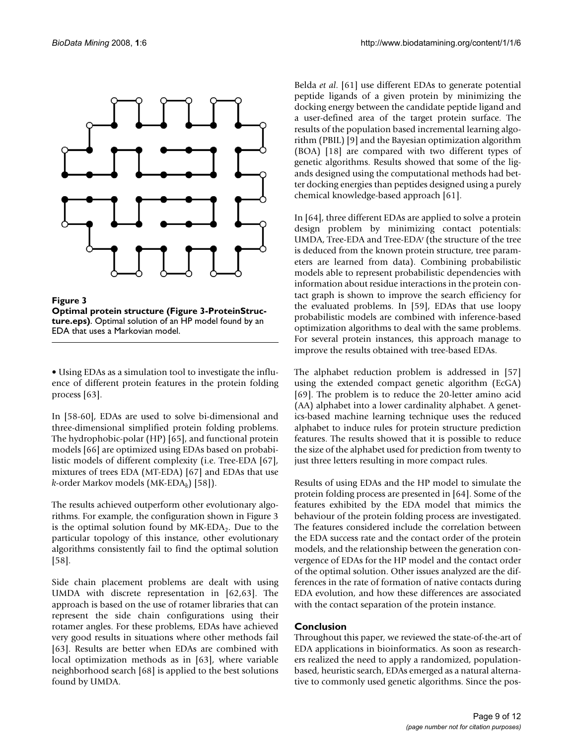

Figure 3 **Optimal protein structure (Figure 3-ProteinStructure.eps)**. Optimal solution of an HP model found by an EDA that uses a Markovian model.

• Using EDAs as a simulation tool to investigate the influence of different protein features in the protein folding process [63].

In [58-60], EDAs are used to solve bi-dimensional and three-dimensional simplified protein folding problems. The hydrophobic-polar (HP) [65], and functional protein models [66] are optimized using EDAs based on probabilistic models of different complexity (i.e. Tree-EDA [67], mixtures of trees EDA (MT-EDA) [67] and EDAs that use *k*-order Markov models (MK-EDA*k*) [58]).

The results achieved outperform other evolutionary algorithms. For example, the configuration shown in Figure 3 is the optimal solution found by  $MK-EDA_2$ . Due to the particular topology of this instance, other evolutionary algorithms consistently fail to find the optimal solution [58].

Side chain placement problems are dealt with using UMDA with discrete representation in [62,63]. The approach is based on the use of rotamer libraries that can represent the side chain configurations using their rotamer angles. For these problems, EDAs have achieved very good results in situations where other methods fail [63]. Results are better when EDAs are combined with local optimization methods as in [63], where variable neighborhood search [68] is applied to the best solutions found by UMDA.

Belda *et al*. [61] use different EDAs to generate potential peptide ligands of a given protein by minimizing the docking energy between the candidate peptide ligand and a user-defined area of the target protein surface. The results of the population based incremental learning algorithm (PBIL) [9] and the Bayesian optimization algorithm (BOA) [18] are compared with two different types of genetic algorithms. Results showed that some of the ligands designed using the computational methods had better docking energies than peptides designed using a purely chemical knowledge-based approach [61].

In [64], three different EDAs are applied to solve a protein design problem by minimizing contact potentials: UMDA, Tree-EDA and Tree-EDA*<sup>r</sup>*(the structure of the tree is deduced from the known protein structure, tree parameters are learned from data). Combining probabilistic models able to represent probabilistic dependencies with information about residue interactions in the protein contact graph is shown to improve the search efficiency for the evaluated problems. In [59], EDAs that use loopy probabilistic models are combined with inference-based optimization algorithms to deal with the same problems. For several protein instances, this approach manage to improve the results obtained with tree-based EDAs.

The alphabet reduction problem is addressed in [57] using the extended compact genetic algorithm (EcGA) [69]. The problem is to reduce the 20-letter amino acid (AA) alphabet into a lower cardinality alphabet. A genetics-based machine learning technique uses the reduced alphabet to induce rules for protein structure prediction features. The results showed that it is possible to reduce the size of the alphabet used for prediction from twenty to just three letters resulting in more compact rules.

Results of using EDAs and the HP model to simulate the protein folding process are presented in [64]. Some of the features exhibited by the EDA model that mimics the behaviour of the protein folding process are investigated. The features considered include the correlation between the EDA success rate and the contact order of the protein models, and the relationship between the generation convergence of EDAs for the HP model and the contact order of the optimal solution. Other issues analyzed are the differences in the rate of formation of native contacts during EDA evolution, and how these differences are associated with the contact separation of the protein instance.

# **Conclusion**

Throughout this paper, we reviewed the state-of-the-art of EDA applications in bioinformatics. As soon as researchers realized the need to apply a randomized, populationbased, heuristic search, EDAs emerged as a natural alternative to commonly used genetic algorithms. Since the pos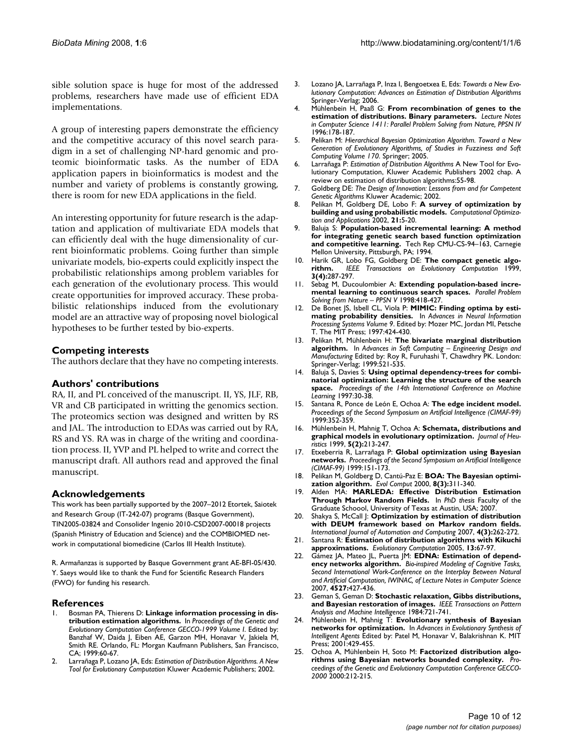sible solution space is huge for most of the addressed problems, researchers have made use of efficient EDA implementations.

A group of interesting papers demonstrate the efficiency and the competitive accuracy of this novel search paradigm in a set of challenging NP-hard genomic and proteomic bioinformatic tasks. As the number of EDA application papers in bioinformatics is modest and the number and variety of problems is constantly growing, there is room for new EDA applications in the field.

An interesting opportunity for future research is the adaptation and application of multivariate EDA models that can efficiently deal with the huge dimensionality of current bioinformatic problems. Going further than simple univariate models, bio-experts could explicitly inspect the probabilistic relationships among problem variables for each generation of the evolutionary process. This would create opportunities for improved accuracy. These probabilistic relationships induced from the evolutionary model are an attractive way of proposing novel biological hypotheses to be further tested by bio-experts.

#### **Competing interests**

The authors declare that they have no competing interests.

#### **Authors' contributions**

RA, II, and PL conceived of the manuscript. II, YS, JLF, RB, VR and CB participated in writting the genomics section. The proteomics section was designed and written by RS and JAL. The introduction to EDAs was carried out by RA, RS and YS. RA was in charge of the writing and coordination process. II, YVP and PL helped to write and correct the manuscript draft. All authors read and approved the final manuscript.

#### **Acknowledgements**

This work has been partially supported by the 2007–2012 Etortek, Saiotek and Research Group (IT-242-07) programs (Basque Government), TIN2005-03824 and Consolider Ingenio 2010-CSD2007-00018 projects (Spanish Ministry of Education and Science) and the COMBIOMED network in computational biomedicine (Carlos III Health Institute).

R. Armañanzas is supported by Basque Government grant AE-BFI-05/430. Y. Saeys would like to thank the Fund for Scientific Research Flanders (FWO) for funding his research.

#### **References**

- Bosman PA, Thierens D: Linkage information processing in dis**tribution estimation algorithms.** In *Proceedings of the Genetic and Evolutionary Computation Conference GECCO-1999 Volume I*. Edited by: Banzhaf W, Daida J, Eiben AE, Garzon MH, Honavar V, Jakiela M, Smith RE. Orlando, FL: Morgan Kaufmann Publishers, San Francisco, CA; 1999:60-67.
- 2. Larrañaga P, Lozano JA, Eds: *Estimation of Distribution Algorithms. A New Tool for Evolutionary Computation* Kluwer Academic Publishers; 2002.
- 3. Lozano JA, Larrañaga P, Inza I, Bengoetxea E, Eds: *Towards a New Evolutionary Computation: Advances on Estimation of Distribution Algorithms* Springer-Verlag; 2006.
- 4. Mühlenbein H, Paaß G: **From recombination of genes to the estimation of distributions. Binary parameters.** *Lecture Notes in Computer Science 1411: Parallel Problem Solving from Nature, PPSN IV* 1996:178-187.
- 5. Pelikan M: *Hierarchical Bayesian Optimization Algorithm. Toward a New Generation of Evolutionary Algorithms, of Studies in Fuzziness and Soft Computing Volume 170*. Springer; 2005.
- 6. Larrañaga P: *Estimation of Distribution Algorithms* A New Tool for Evolutionary Computation, Kluwer Academic Publishers 2002 chap. A review on estimation of distribution algorithms:55-98.
- 7. Goldberg DE: *The Design of Innovation: Lessons from and for Competent Genetic Algorithms* Kluwer Academic; 2002.
- 8. Pelikan M, Goldberg DE, Lobo F: **A survey of optimization by building and using probabilistic models.** *Computational Optimization and Applications* 2002, **21:**5-20.
- 9. Baluja S: **Population-based incremental learning: A method for integrating genetic search based function optimization and competitive learning.** Tech Rep CMU-CS-94–163, Carnegie Mellon University, Pittsburgh, PA; 1994.
- 10. Harik GR, Lobo FG, Goldberg DE: **The compact genetic algorithm.** *IEEE Transactions on Evolutionary Computation* 1999, **3(4):**287-297.
- 11. Sebag M, Ducoulombier A: **Extending population-based incremental learning to continuous search spaces.** *Parallel Problem Solving from Nature – PPSN V* 1998:418-427.
- 12. De Bonet JS, Isbell CL, Viola P: **MIMIC: Finding optima by estimating probability densities.** In *Advances in Neural Information Processing Systems Volume 9*. Edited by: Mozer MC, Jordan MI, Petsche T. The MIT Press; 1997:424-430.
- 13. Pelikan M, Mühlenbein H: **The bivariate marginal distribution algorithm.** In *Advances in Soft Computing – Engineering Design and Manufacturing* Edited by: Roy R, Furuhashi T, Chawdhry PK. London: Springer-Verlag; 1999:521-535.
- 14. Baluja S, Davies S: **Using optimal dependency-trees for combinatorial optimization: Learning the structure of the search space.** *Proceedings of the 14th International Conference on Machine Learning* 1997:30-38.
- 15. Santana R, Ponce de León E, Ochoa A: **The edge incident model.** *Proceedings of the Second Symposium on Artificial Intelligence (CIMAF-99)* 1999:352-359.
- 16. Mühlenbein H, Mahnig T, Ochoa A: **Schemata, distributions and graphical models in evolutionary optimization.** *Journal of Heuristics* 1999, **5(2):**213-247.
- 17. Etxeberria R, Larrañaga P: **Global optimization using Bayesian networks.** *Proceedings of the Second Symposium on Artificial Intelligence (CIMAF-99)* 1999:151-173.
- 18. Pelikan M, Goldberg D, Cantú-Paz E: **[BOA: The Bayesian optimi](http://www.ncbi.nlm.nih.gov/entrez/query.fcgi?cmd=Retrieve&db=PubMed&dopt=Abstract&list_uids=11001554)[zation algorithm.](http://www.ncbi.nlm.nih.gov/entrez/query.fcgi?cmd=Retrieve&db=PubMed&dopt=Abstract&list_uids=11001554)** *Evol Comput* 2000, **8(3):**311-340.
- 19. Alden MA: **MARLEDA: Effective Distribution Estimation Through Markov Random Fields.** In *PhD thesis* Faculty of the Graduate Schoool, University of Texas at Austin, USA; 2007.
- 20. Shakya S, McCall J: **Optimization by estimation of distribution with DEUM framework based on Markov random fields.** *International Journal of Automation and Computing* 2007, **4(3):**262-272.
- 21. Santana R: **[Estimation of distribution algorithms with Kikuchi](http://www.ncbi.nlm.nih.gov/entrez/query.fcgi?cmd=Retrieve&db=PubMed&dopt=Abstract&list_uids=15901427) [approximations.](http://www.ncbi.nlm.nih.gov/entrez/query.fcgi?cmd=Retrieve&db=PubMed&dopt=Abstract&list_uids=15901427)** *Evolutionary Computation* 2005, **13:**67-97.
- 22. Gámez JA, Mateo JL, Puerta JM: **EDNA: Estimation of dependency networks algorithm.** *Bio-inspired Modeling of Cognitive Tasks, Second International Work-Conference on the Interplay Between Natural and Artificial Computation, IWINAC, of Lecture Notes in Computer Science* 2007, **4527:**427-436.
- 23. Geman S, Geman D: **Stochastic relaxation, Gibbs distributions, and Bayesian restoration of images.** *IEEE Transactions on Pattern Analysis and Machine Intelligence* 1984:721-741.
- 24. Mühlenbein H, Mahnig T: **Evolutionary synthesis of Bayesian networks for optimization.** In *Advances in Evolutionary Synthesis of Intelligent Agents* Edited by: Patel M, Honavar V, Balakrishnan K. MIT Press; 2001:429-455.
- 25. Ochoa A, Mühlenbein H, Soto M: **Factorized distribution algo**rithms using Bayesian networks bounded complexity. *ceedings of the Genetic and Evolutionary Computation Conference GECCO-2000* 2000:212-215.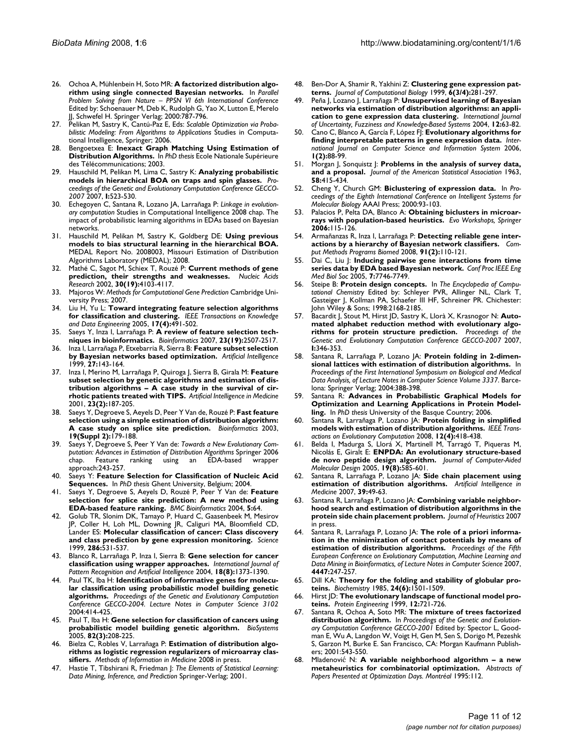- 26. Ochoa A, Mühlenbein H, Soto MR: **A factorized distribution algorithm using single connected Bayesian networks.** In *Parallel Problem Solving from Nature – PPSN VI 6th International Conference* Edited by: Schoenauer M, Deb K, Rudolph G, Yao X, Lutton E, Merelo JJ, Schwefel H. Springer Verlag; 2000:787-796.
- 27. Pelikan M, Sastry K, Cantú-Paz E, Eds: *Scalable Optimization via Probabilistic Modeling: From Algorithms to Applications* Studies in Computational Intelligence, Springer; 2006.
- 28. Bengoetxea E: **Inexact Graph Matching Using Estimation of Distribution Algorithms.** In *PhD thesis* Ecole Nationale Supérieure des Télécommunications; 2003.
- 29. Hauschild M, Pelikan M, Lima C, Sastry K: **Analyzing probabilistic models in hierarchical BOA on traps and spin glasses.** *Proceedings of the Genetic and Evolutionary Computation Conference GECCO-2007* 2007, **I:**523-530.
- 30. Echegoyen C, Santana R, Lozano JA, Larrañaga P: *Linkage in evolutionary computation* Studies in Computational Intelligence 2008 chap. The impact of probabilistic learning algorithms in EDAs based on Bayesian networks.
- 31. Hauschild M, Pelikan M, Sastry K, Goldberg DE: **Using previous models to bias structural learning in the hierarchical BOA.** MEDAL Report No. 2008003, Missouri Estimation of Distribution Algorithms Laboratory (MEDAL); 2008.
- 32. Mathé C, Sagot M, Schiex T, Rouzé P: **[Current methods of gene](http://www.ncbi.nlm.nih.gov/entrez/query.fcgi?cmd=Retrieve&db=PubMed&dopt=Abstract&list_uids=12364589) [prediction, their strengths and weaknesses.](http://www.ncbi.nlm.nih.gov/entrez/query.fcgi?cmd=Retrieve&db=PubMed&dopt=Abstract&list_uids=12364589)** *Nucleic Acids Research* 2002, **30(19):**4103-4117.
- 33. Majoros W: *Methods for Computational Gene Prediction* Cambridge University Press; 2007.
- 34. Liu H, Yu L: **Toward integrating feature selection algorithms for classification and clustering.** *IEEE Transactions on Knowledge and Data Engineering* 2005, **17(4):**491-502.
- 35. Saeys Y, Inza I, Larrañaga P: **[A review of feature selection tech](http://www.ncbi.nlm.nih.gov/entrez/query.fcgi?cmd=Retrieve&db=PubMed&dopt=Abstract&list_uids=17720704)[niques in bioinformatics.](http://www.ncbi.nlm.nih.gov/entrez/query.fcgi?cmd=Retrieve&db=PubMed&dopt=Abstract&list_uids=17720704)** *Bioinformatics* 2007, **23(19):**2507-2517.
- 36. Inza I, Larrañaga P, Etxebarria R, Sierra B: **Feature subset selection by Bayesian networks based optimization.** *Artificial Intelligence* 1999, **27:**143-164.
- 37. Inza I, Merino M, Larrañaga P, Quiroga J, Sierra B, Girala M: **[Feature](http://www.ncbi.nlm.nih.gov/entrez/query.fcgi?cmd=Retrieve&db=PubMed&dopt=Abstract&list_uids=11583925) [subset selection by genetic algorithms and estimation of dis](http://www.ncbi.nlm.nih.gov/entrez/query.fcgi?cmd=Retrieve&db=PubMed&dopt=Abstract&list_uids=11583925)tribution algorithms – A case study in the survival of cir[rhotic patients treated with TIPS.](http://www.ncbi.nlm.nih.gov/entrez/query.fcgi?cmd=Retrieve&db=PubMed&dopt=Abstract&list_uids=11583925)** *Artificial Intelligence in Medicine* 2001, **23(2):**187-205.
- 38. Saeys Y, Degroeve S, Aeyels D, Peer Y Van de, Rouzé P: **Fast feature selection using a simple estimation of distribution algorithm: A case study on splice site prediction.** *Bioinformatics* 2003, **19(Suppl 2):**179-188.
- 39. Saeys Y, Degroeve S, Peer Y Van de: *Towards a New Evolutionary Computation: Advances in Estimation of Distribution Algorithms* Springer 2006 chap. Feature ranking using an EDA-based wrapper approach:243-257.
- Saeys Y: Feature Selection for Classification of Nucleic Acid **Sequences.** In *PhD thesis* Ghent University, Belgium; 2004.
- 41. Saeys Y, Degroeve S, Aeyels D, Rouzé P, Peer Y Van de: **[Feature](http://www.ncbi.nlm.nih.gov/entrez/query.fcgi?cmd=Retrieve&db=PubMed&dopt=Abstract&list_uids=15154966) [selection for splice site prediction: A new method using](http://www.ncbi.nlm.nih.gov/entrez/query.fcgi?cmd=Retrieve&db=PubMed&dopt=Abstract&list_uids=15154966) [EDA-based feature ranking.](http://www.ncbi.nlm.nih.gov/entrez/query.fcgi?cmd=Retrieve&db=PubMed&dopt=Abstract&list_uids=15154966)** *BMC Bioinformatics* 2004, **5:**64.
- 42. Golub TR, Slonim DK, Tamayo P, Huard C, Gaasenbeek M, Mesirov JP, Coller H, Loh ML, Downing JR, Caliguri MA, Bloomfield CD, Lander ES: **[Molecular classification of cancer: Class discovery](http://www.ncbi.nlm.nih.gov/entrez/query.fcgi?cmd=Retrieve&db=PubMed&dopt=Abstract&list_uids=10521349) [and class prediction by gene expression monitoring.](http://www.ncbi.nlm.nih.gov/entrez/query.fcgi?cmd=Retrieve&db=PubMed&dopt=Abstract&list_uids=10521349)** *Science* 1999, **286:**531-537.
- 43. Blanco R, Larrañaga P, Inza I, Sierra B: **Gene selection for cancer classification using wrapper approaches.** *International Journal of Pattern Recognition and Artificial Intelligence* 2004, **18(8):**1373-1390.
- Paul TK, Iba H: **Identification of informative genes for molecular classification using probabilistic model building genetic algorithms.** *Proceedings of the Genetic and Evolutionary Computation Conference GECCO-2004. Lecture Notes in Computer Science 3102* 2004:414-425.
- 45. Paul T, Iba H: **[Gene selection for classification of cancers using](http://www.ncbi.nlm.nih.gov/entrez/query.fcgi?cmd=Retrieve&db=PubMed&dopt=Abstract&list_uids=16112804) [probabilistic model building genetic algorithm.](http://www.ncbi.nlm.nih.gov/entrez/query.fcgi?cmd=Retrieve&db=PubMed&dopt=Abstract&list_uids=16112804)** *BioSystems* 2005, **82(3):**208-225.
- 46. Bielza C, Robles V, Larrañaga P: **Estimation of distribution algorithms as logistic regression regularizers of microarray classifiers.** *Methods of Information in Medicine* 2008 in press.
- 47. Hastie T, Tibshirani R, Friedman J: *The Elements of Statistical Learning: Data Mining, Inference, and Prediction* Springer-Verlag; 2001.
- 48. Ben-Dor A, Shamir R, Yakhini Z: **[Clustering gene expression pat](http://www.ncbi.nlm.nih.gov/entrez/query.fcgi?cmd=Retrieve&db=PubMed&dopt=Abstract&list_uids=10582567)[terns.](http://www.ncbi.nlm.nih.gov/entrez/query.fcgi?cmd=Retrieve&db=PubMed&dopt=Abstract&list_uids=10582567)** *Journal of Computational Biology* 1999, **6(3/4):**281-297.
- 49. Peña J, Lozano J, Larrañaga P: **Unsupervised learning of Bayesian networks via estimation of distribution algorithms: an application to gene expression data clustering.** *International Journal of Uncertainty, Fuzziness and Knowledge-Based Systems* 2004, **12:**63-82.
- 50. Cano C, Blanco A, García F, López FJ: **Evolutionary algorithms for finding interpretable patterns in gene expression data.** *International Journal on Computer Science and Information System* 2006, **1(2):**88-99.
- 51. Morgan J, Sonquistz J: **Problems in the analysis of survey data, and a proposal.** *Journal of the American Statistical Association* 1963, **58:**415-434.
- 52. Cheng Y, Church GM: **Biclustering of expression data.** In *Proceedings of the Eighth International Conference on Intelligent Systems for Molecular Biology* AAAI Press; 2000:93-103.
- 53. Palacios P, Pelta DA, Blanco A: **Obtaining biclusters in microarrays with population-based heuristics.** *Evo Workshops, Springer* **2006:**115-126.
- 54. Armañanzas R, Inza I, Larrañaga P: **[Detecting reliable gene inter](http://www.ncbi.nlm.nih.gov/entrez/query.fcgi?cmd=Retrieve&db=PubMed&dopt=Abstract&list_uids=18433926)[actions by a hierarchy of Bayesian network classifiers.](http://www.ncbi.nlm.nih.gov/entrez/query.fcgi?cmd=Retrieve&db=PubMed&dopt=Abstract&list_uids=18433926)** *Comput Methods Programs Biomed* 2008, **91(2):**110-121.
- 55. Dai C, Liu J: **[Inducing pairwise gene interactions from time](http://www.ncbi.nlm.nih.gov/entrez/query.fcgi?cmd=Retrieve&db=PubMed&dopt=Abstract&list_uids=17282077) [series data by EDA based Bayesian network.](http://www.ncbi.nlm.nih.gov/entrez/query.fcgi?cmd=Retrieve&db=PubMed&dopt=Abstract&list_uids=17282077)** *Conf Proc IEEE Eng Med Biol Soc* 2005, **7:**7746-7749.
- 56. Steipe B: **Protein design concepts.** In *The Encyclopedia of Computational Chemistry* Edited by: Schleyer PVR, Allinger NL, Clark T, Gasteiger J, Kollman PA, Schaefer III HF, Schreiner PR. Chichester: John Wiley & Sons; 1998:2168-2185.
- 57. Bacardit J, Stout M, Hirst JD, Sastry K, Llorà X, Krasnogor N: **Automated alphabet reduction method with evolutionary algorithms for protein structure prediction.** *Proceedings of the Genetic and Evolutionary Computation Conference GECCO-2007* 2007, **I:**346-353.
- 58. Santana R, Larrañaga P, Lozano JA: **Protein folding in 2-dimensional lattices with estimation of distribution algorithms.** In *Proceedings of the First International Symposium on Biological and Medical Data Analysis, of Lecture Notes in Computer Science Volume 3337*. Barcelona: Springer Verlag; 2004:388-398.
- Santana R: Advances in Probabilistic Graphical Models for **Optimization and Learning Applications in Protein Modelling.** In *PhD thesis* University of the Basque Country; 2006.
- 60. Santana R, Larrañaga P, Lozano JA: **Protein folding in simplified models with estimation of distribution algorithms.** *IEEE Transactions on Evolutionary Computation* 2008, **12(4):**418-438.
- 61. Belda I, Madurga S, Llorá X, Martinell M, Tarragó T, Piqueras M, Nicolás E, Giralt E: **[ENPDA: An evolutionary structure-based](http://www.ncbi.nlm.nih.gov/entrez/query.fcgi?cmd=Retrieve&db=PubMed&dopt=Abstract&list_uids=16267689) [de novo peptide design algorithm.](http://www.ncbi.nlm.nih.gov/entrez/query.fcgi?cmd=Retrieve&db=PubMed&dopt=Abstract&list_uids=16267689)** *Journal of Computer-Aided Molecular Design* 2005, **19(8):**585-601.
- 62. Santana R, Larrañaga P, Lozano JA: **[Side chain placement using](http://www.ncbi.nlm.nih.gov/entrez/query.fcgi?cmd=Retrieve&db=PubMed&dopt=Abstract&list_uids=16854574) [estimation of distribution algorithms.](http://www.ncbi.nlm.nih.gov/entrez/query.fcgi?cmd=Retrieve&db=PubMed&dopt=Abstract&list_uids=16854574)** *Artificial Intelligence in Medicine* 2007, **39:**49-63.
- Santana R, Larrañaga P, Lozano JA: **Combining variable neighborhood search and estimation of distribution algorithms in the protein side chain placement problem.** *Journal of Heuristics* 2007 in press.
- Santana R, Larrañaga P, Lozano JA: The role of a priori informa**tion in the minimization of contact potentials by means of estimation of distribution algorithms.** *Proceedings of the Fifth European Conference on Evolutionary Computation, Machine Learning and Data Mining in Bioinformatics, of Lecture Notes in Computer Science* 2007, **4447:**247-257.
- 65. Dill KA: **[Theory for the folding and stability of globular pro](http://www.ncbi.nlm.nih.gov/entrez/query.fcgi?cmd=Retrieve&db=PubMed&dopt=Abstract&list_uids=3986190)[teins.](http://www.ncbi.nlm.nih.gov/entrez/query.fcgi?cmd=Retrieve&db=PubMed&dopt=Abstract&list_uids=3986190)** *Biochemistry* 1985, **24(6):**1501-1509.
- 66. Hirst JD: **[The evolutionary landscape of functional model pro](http://www.ncbi.nlm.nih.gov/entrez/query.fcgi?cmd=Retrieve&db=PubMed&dopt=Abstract&list_uids=10506281)[teins.](http://www.ncbi.nlm.nih.gov/entrez/query.fcgi?cmd=Retrieve&db=PubMed&dopt=Abstract&list_uids=10506281)** *Protein Engineering* 1999, **12:**721-726.
- 67. Santana R, Ochoa A, Soto MR: **The mixture of trees factorized distribution algorithm.** In *Proceedings of the Genetic and Evolutionary Computation Conference GECCO-2001* Edited by: Spector L, Goodman E, Wu A, Langdon W, Voigt H, Gen M, Sen S, Dorigo M, Pezeshk S, Garzon M, Burke E. San Francisco, CA: Morgan Kaufmann Publishers; 2001:543-550.
- 68. Mladenović N: **A variable neighborhood algorithm a new metaheuristics for combinatorial optimization.** *Abstracts of Papers Presented at Optimization Days. Montréal* 1995:112.